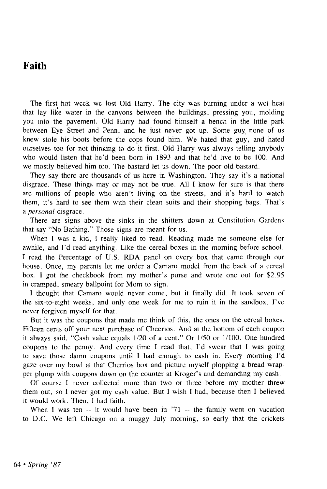## Faith

The first hot week we lost Old Harry. The city was burning under a wet heat that lay like water in the canyons between the buildings, pressing you, molding you into the pavement. Old Harry had found himself a bench in the little park between Eye Street and Penn, and he just never got up. Some guy none of us knew stole his boots before the cops found him. We hated that guy, and hated ourselves too for not thinking to do it first. Old Harry was always telling anybody who would listen that he'd been born in 1893 and that he'd live to be 100. And we mostly believed him too. The bastard let us down. The poor old bastard.

They say there are thousands of us here in Washington. They say it's a national disgrace. These things may or may not be true. All I know for sure is that there are millions of people who aren't living on the streets, and it's hard to watch them, it's hard to see them with their clean suits and their shopping bags. That's a *personal* disgrace.

There are signs above the sinks in the shitters down at Constitution Gardens that say "No Bathing." Those signs are meant for us.

When I was a kid, I really liked to read. Reading made me someone else for awhile, and I'd read anything. Like the cereal boxes in the morning before school. I read the Percentage of U.S. RDA panel on every box that came through our house. Once, my parents let me order a Camaro model from the back of a cereal box. I got the checkbook from my mother's purse and wrote one out for \$2.95 in cramped, smeary ballpoint for Mom to sign.

I thought that Camaro would never come, but it finally did. It took seven of the six-to-eight weeks, and only one week for me to ruin it in the sandbox. I've never forgiven myself for that.

But it was the coupons that made me think of this, the ones on the cereal boxes. Fifteen cents off your next purchase of Cheerios. And at the bottom of each coupon it always said, "Cash value equals 1/20 of a cent." Or 1/50 or 1/100. One hundred coupons to the penny. And every time I read that, I'd swear that I was going to save those damn coupons until I had enough to cash in. Every morning I'd gaze over my bowl at that Cherrios box and picture myself plopping a bread wrapper plump with coupons down on the counter at Kroger's and demanding my cash.

Of course I never collected more than two or three before my mother threw them out, so I never got my cash value. But I wish I had, because then I believed it would work. Then, I had faith.

When I was ten -- it would have been in '71 -- the family went on vacation to D.C. We left Chicago on a muggy July morning, so early that the crickets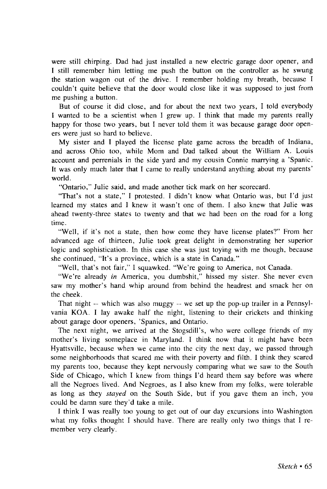were still chirping. Dad had just installed a new electric garage door opener, and I still remember him letting me push the button on the controller as he swung the station wagon out of the drive. I remember holding my breath, because I couldn't quite believe that the door would close like it was supposed to just from me pushing a button.

But of course it did close, and for about the next two years, I told everybody I wanted to be a scientist when I grew up. I think that made my parents really happy for those two years, but I never told them it was because garage door openers were just so hard to believe.

My sister and I played the license plate game across the breadth of Indiana, and across Ohio too, while Mom and Dad talked about the William A. Louis account and perrenials in the side yard and my cousin Connie marrying a 'Spanic. It was only much later that I came to really understand anything about my parents' world.

"Ontario," Julie said, and made another tick mark on her scorecard.

"That's not a state," I protested. I didn't know what Ontario was, but I'd just learned my states and I knew it wasn't one of them. I also knew that Julie was ahead twenty-three states to twenty and that we had been on the road for a long time.

"Well, if it's not a state, then how come they have license plates?" From her advanced age of thirteen, Julie took great delight in demonstrating her superior logic and sophistication. In this case she was just toying with me though, because she continued, "It's a province, which is a state in Canada."

"Well, that's not fair," I squawked. "We're going to America, not Canada.

"We're already in America, you dumbshit," hissed my sister. She never even saw my mother's hand whip around from behind the headrest and smack her on the cheek.

That night — which was also muggy — we set up the pop-up trailer in a Pennsylvania KOA. I lay awake half the night, listening to their crickets and thinking about garage door openers, 'Spanics, and Ontario.

The next night, we arrived at the Stogsdill's, who were college friends of my mother's living someplace in Maryland. I think now that it might have been Hyattsville, because when we came into the city the next day, we passed through some neighborhoods that scared me with their poverty and filth. I think they scared my parents too, because they kept nervously comparing what we saw to the South Side of Chicago, which I knew from things I'd heard them say before was where all the Negroes lived. And Negroes, as I also knew from my folks, were tolerable as long as they *stayed* on the South Side, but if you gave them an inch, you could be damn sure they'd take a mile.

I think I was really too young to get out of our day excursions into Washington what my folks thought I should have. There are really only two things that I remember very clearly.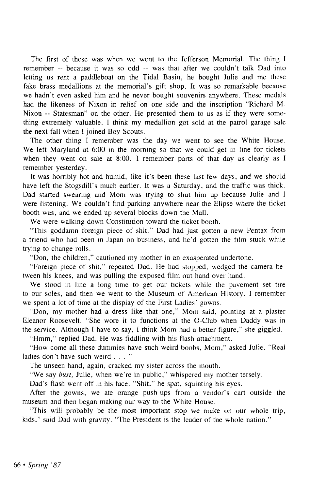The first of these was when we went to the Jefferson Memorial. The thing I remember — because it was so odd — was that after we couldn't talk Dad into letting us rent a paddleboat on the Tidal Basin, he bought Julie and me these fake brass medallions at the memorial's gift shop. It was so remarkable because we hadn't even asked him and he never bought souvenirs anywhere. These medals had the likeness of Nixon in relief on one side and the inscription "Richard M. Nixon — Statesman" on the other. He presented them to us as if they were something extremely valuable. I think my medallion got sold at the patrol garage sale the next fall when I joined Boy Scouts.

The other thing I remember was the day we went to see the White House. We left Maryland at 6:00 in the morning so that we could get in line for tickets when they went on sale at 8:00. I remember parts of that day as clearly as I remember yesterday.

It was horribly hot and humid, like it's been these last few days, and we should have left the Stogsdill's much earlier. It was a Saturday, and the traffic was thick. Dad started swearing and Mom was trying to shut him up because Julie and I were listening. We couldn't find parking anywhere near the Elipse where the ticket booth was, and we ended up several blocks down the Mall.

We were walking down Constitution toward the ticket booth.

"This goddamn foreign piece of shit." Dad had just gotten a new Pentax from a friend who had been in Japan on business, and he'd gotten the film stuck while trying to change rolls.

"Don, the children," cautioned my mother in an exasperated undertone.

"Foreign piece of shit," repeated Dad. He had stopped, wedged the camera between his knees, and was pulling the exposed film out hand over hand.

We stood in line a long time to get our tickets while the pavement set fire to our soles, and then we went to the Museum of American History. I remember we spent a lot of time at the display of the First Ladies' gowns.

"Don, my mother had a dress like that one," Mom said, pointing at a plaster Eleanor Roosevelt. "She wore it to functions at the O-Club when Daddy was in the service. Although I have to say, I think Mom had a better figure," she giggled.

"Hmm," replied Dad. He was fiddling with his flash attachment.

"How come all these dummies have such weird boobs, Mom," asked Julie. "Real ladies don't have such weird . . . "

The unseen hand, again, cracked my sister across the mouth.

"We say *bust*, Julie, when we're in public," whispered my mother tersely.

Dad's flash went off in his face. "Shit," he spat, squinting his eyes.

After the gowns, we ate orange push-ups from a vendor's cart outside the museum and then began making our way to the White House.

"This will probably be the most important stop we make on our whole trip, kids," said Dad with gravity. "The President is the leader of the whole nation."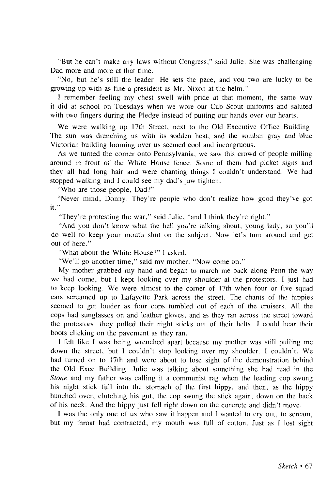"But he can't make any laws without Congress," said Julie. She was challenging Dad more and more at that time.

"No, but he's still the leader. He sets the pace, and you two are lucky to be growing up with as fine a president as Mr. Nixon at the helm."

I remember feeling my chest swell with pride at that moment, the same way it did at school on Tuesdays when we wore our Cub Scout uniforms and saluted with two fingers during the Pledge instead of putting our hands over our hearts.

We were walking up 17th Street, next to the Old Executive Office Building. The sun was drenching us with its sodden heat, and the somber gray and blue Victorian building looming over us seemed cool and incongruous.

As we turned the corner onto Pennsylvania, we saw this crowd of people milling around in front of the White House fence. Some of them had picket signs and they all had long hair and were chanting things I couldn't understand. We had stopped walking and I could see my dad's jaw tighten.

"Who are those people, Dad?"

"Never mind, Donny. They're people who don't realize how good they've got it."

"They're protesting the war," said Julie, "and I think they're right."

"And you don't know what the hell you're talking about, young lady, so you'll do well to keep your mouth shut on the subject. Now let's turn around and get out of here."

"What about the White House?" I asked.

"We'll go another time," said my mother. "Now come on."

My mother grabbed my hand and began to march me back along Penn the way we had come, but I kept looking over my shoulder at the protestors. I just had to keep looking. We were almost to the corner of 17th when four or five squad cars screamed up to Lafayette Park across the street. The chants of the hippies seemed to get louder as four cops tumbled out of each of the cruisers. All the cops had sunglasses on and leather gloves, and as they ran across the street toward the protestors, they pulled their night sticks out of their belts. I could hear their boots clicking on the pavement as they ran.

I felt like I was being wrenched apart because my mother was still pulling me down the street, but I couldn't stop looking over my shoulder. I couldn't. We had turned on to 17th and were about to lose sight of the demonstration behind the Old Exec Building. Julie was talking about something she had read in the *Stone* and my father was calling it a communist rag when the leading cop swung his night stick full into the stomach of the first hippy, and then, as the hippy hunched over, clutching his gut, the cop swung the stick again, down on the back of his neck. And the hippy just fell right down on the concrete and didn't move.

I was the only one of us who saw it happen and I wanted to cry out, to scream, but my throat had contracted, my mouth was full of cotton. Just as I lost sight